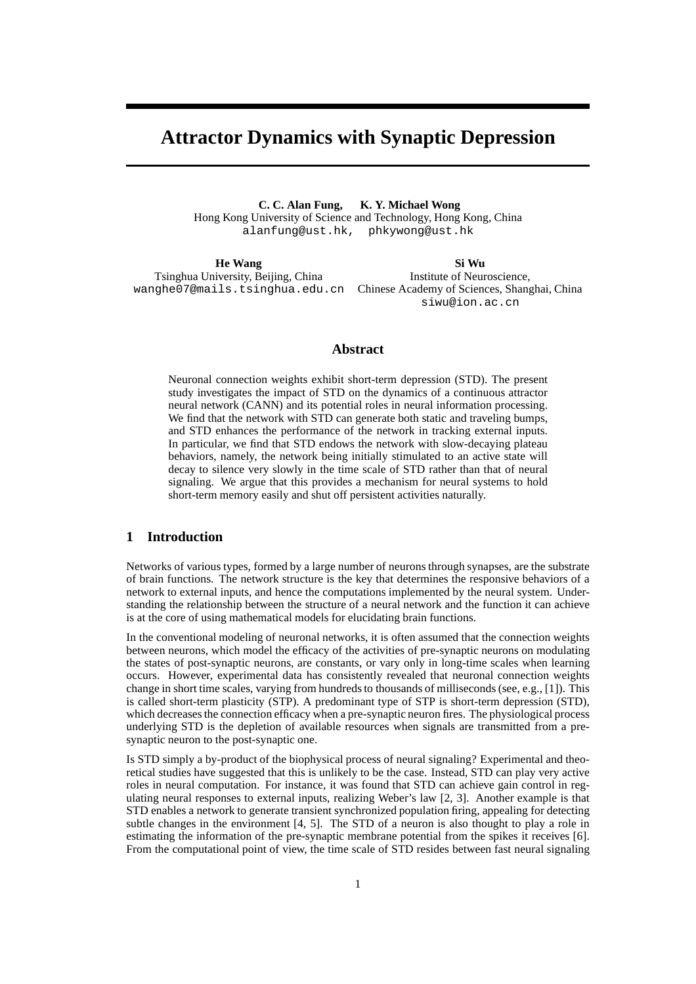# **Attractor Dynamics with Synaptic Depression**

**C. C. Alan Fung, K. Y. Michael Wong** Hong Kong University of Science and Technology, Hong Kong, China alanfung@ust.hk, phkywong@ust.hk

**He Wang** Tsinghua University, Beijing, China wanghe07@mails.tsinghua.edu.cn Chinese Academy of Sciences, Shanghai, China **Si Wu** Institute of Neuroscience, siwu@ion.ac.cn

## **Abstract**

Neuronal connection weights exhibit short-term depression (STD). The present study investigates the impact of STD on the dynamics of a continuous attractor neural network (CANN) and its potential roles in neural information processing. We find that the network with STD can generate both static and traveling bumps, and STD enhances the performance of the network in tracking external inputs. In particular, we find that STD endows the network with slow-decaying plateau behaviors, namely, the network being initially stimulated to an active state will decay to silence very slowly in the time scale of STD rather than that of neural signaling. We argue that this provides a mechanism for neural systems to hold short-term memory easily and shut off persistent activities naturally.

## **1 Introduction**

Networks of various types, formed by a large number of neurons through synapses, are the substrate of brain functions. The network structure is the key that determines the responsive behaviors of a network to external inputs, and hence the computations implemented by the neural system. Understanding the relationship between the structure of a neural network and the function it can achieve is at the core of using mathematical models for elucidating brain functions.

In the conventional modeling of neuronal networks, it is often assumed that the connection weights between neurons, which model the efficacy of the activities of pre-synaptic neurons on modulating the states of post-synaptic neurons, are constants, or vary only in long-time scales when learning occurs. However, experimental data has consistently revealed that neuronal connection weights change in short time scales, varying from hundreds to thousands of milliseconds (see, e.g., [1]). This is called short-term plasticity (STP). A predominant type of STP is short-term depression (STD), which decreases the connection efficacy when a pre-synaptic neuron fires. The physiological process underlying STD is the depletion of available resources when signals are transmitted from a presynaptic neuron to the post-synaptic one.

Is STD simply a by-product of the biophysical process of neural signaling? Experimental and theoretical studies have suggested that this is unlikely to be the case. Instead, STD can play very active roles in neural computation. For instance, it was found that STD can achieve gain control in regulating neural responses to external inputs, realizing Weber's law [2, 3]. Another example is that STD enables a network to generate transient synchronized population firing, appealing for detecting subtle changes in the environment [4, 5]. The STD of a neuron is also thought to play a role in estimating the information of the pre-synaptic membrane potential from the spikes it receives [6]. From the computational point of view, the time scale of STD resides between fast neural signaling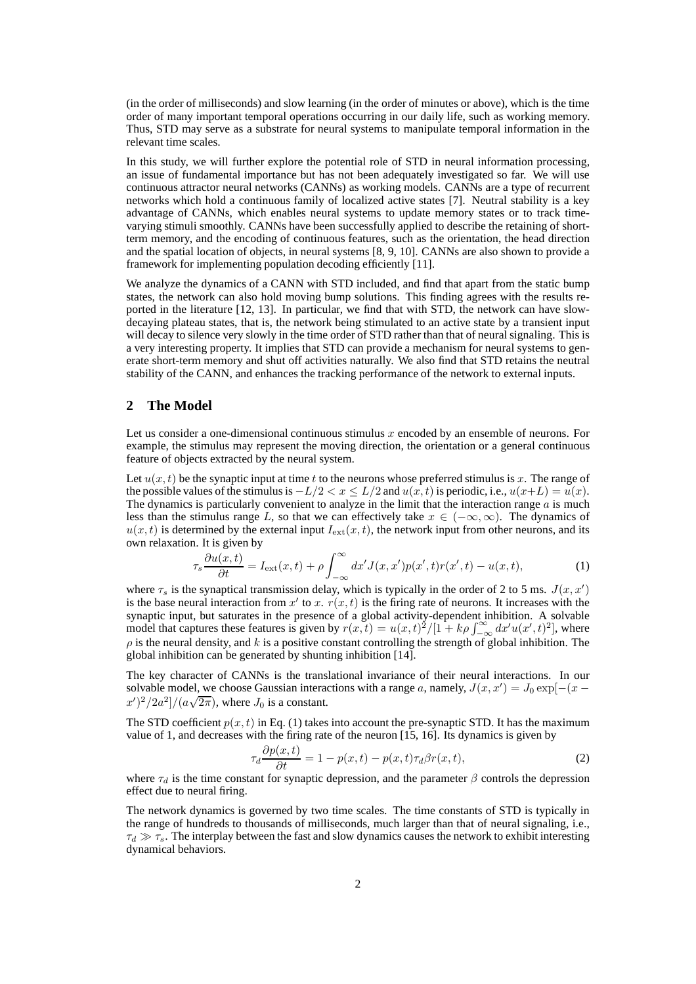(in the order of milliseconds) and slow learning (in the order of minutes or above), which is the time order of many important temporal operations occurring in our daily life, such as working memory. Thus, STD may serve as a substrate for neural systems to manipulate temporal information in the relevant time scales.

In this study, we will further explore the potential role of STD in neural information processing, an issue of fundamental importance but has not been adequately investigated so far. We will use continuous attractor neural networks (CANNs) as working models. CANNs are a type of recurrent networks which hold a continuous family of localized active states [7]. Neutral stability is a key advantage of CANNs, which enables neural systems to update memory states or to track timevarying stimuli smoothly. CANNs have been successfully applied to describe the retaining of shortterm memory, and the encoding of continuous features, such as the orientation, the head direction and the spatial location of objects, in neural systems [8, 9, 10]. CANNs are also shown to provide a framework for implementing population decoding efficiently [11].

We analyze the dynamics of a CANN with STD included, and find that apart from the static bump states, the network can also hold moving bump solutions. This finding agrees with the results reported in the literature [12, 13]. In particular, we find that with STD, the network can have slowdecaying plateau states, that is, the network being stimulated to an active state by a transient input will decay to silence very slowly in the time order of STD rather than that of neural signaling. This is a very interesting property. It implies that STD can provide a mechanism for neural systems to generate short-term memory and shut off activities naturally. We also find that STD retains the neutral stability of the CANN, and enhances the tracking performance of the network to external inputs.

## **2 The Model**

Let us consider a one-dimensional continuous stimulus  $x$  encoded by an ensemble of neurons. For example, the stimulus may represent the moving direction, the orientation or a general continuous feature of objects extracted by the neural system.

Let  $u(x, t)$  be the synaptic input at time t to the neurons whose preferred stimulus is x. The range of the possible values of the stimulus is  $-L/2 < x \le L/2$  and  $u(x, t)$  is periodic, i.e.,  $u(x+L) = u(x)$ . The dynamics is particularly convenient to analyze in the limit that the interaction range  $\alpha$  is much less than the stimulus range L, so that we can effectively take  $x \in (-\infty, \infty)$ . The dynamics of  $u(x, t)$  is determined by the external input  $I_{ext}(x, t)$ , the network input from other neurons, and its own relaxation. It is given by

$$
\tau_s \frac{\partial u(x,t)}{\partial t} = I_{\text{ext}}(x,t) + \rho \int_{-\infty}^{\infty} dx' J(x,x') p(x',t) r(x',t) - u(x,t),\tag{1}
$$

where  $\tau_s$  is the synaptical transmission delay, which is typically in the order of 2 to 5 ms.  $J(x, x')$ is the base neural interaction from x' to x.  $r(x, t)$  is the firing rate of neurons. It increases with the synaptic input, but saturates in the presence of a global activity-dependent inhibition. A solvable model that captures these features is given by  $r(x,t) = u(x,t)^2/[1 + k\rho \int_{-\infty}^{\infty} dx' u(x',t)^2]$ , where  $\rho$  is the neural density, and k is a positive constant controlling the strength of global inhibition. The global inhibition can be generated by shunting inhibition [14].

The key character of CANNs is the translational invariance of their neural interactions. In our solvable model, we choose Gaussian interactions with a range a, namely,  $J(x, x') = J_0 \exp[-(x - \frac{1}{2} s^2)]$  $(x')^2/2a^2]/(a\sqrt{2\pi})$ , where  $J_0$  is a constant.

The STD coefficient  $p(x, t)$  in Eq. (1) takes into account the pre-synaptic STD. It has the maximum value of 1, and decreases with the firing rate of the neuron [15, 16]. Its dynamics is given by

$$
\tau_d \frac{\partial p(x,t)}{\partial t} = 1 - p(x,t) - p(x,t)\tau_d \beta r(x,t),\tag{2}
$$

where  $\tau_d$  is the time constant for synaptic depression, and the parameter  $\beta$  controls the depression effect due to neural firing.

The network dynamics is governed by two time scales. The time constants of STD is typically in the range of hundreds to thousands of milliseconds, much larger than that of neural signaling, i.e.,  $\tau_d \gg \tau_s$ . The interplay between the fast and slow dynamics causes the network to exhibit interesting dynamical behaviors.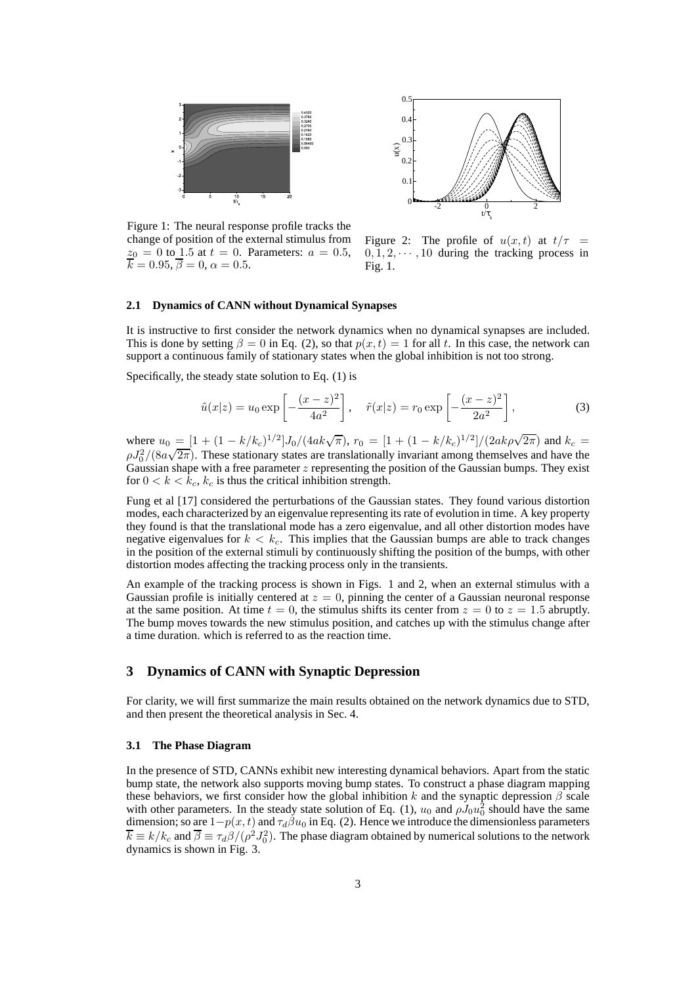



Figure 1: The neural response profile tracks the change of position of the external stimulus from  $z_0 = 0$  to 1.5 at  $t = 0$ . Parameters:  $a = 0.5$ ,  $k = 0.95, \beta = 0, \alpha = 0.5.$ 

Figure 2: The profile of  $u(x, t)$  at  $t/\tau =$  $0, 1, 2, \cdots, 10$  during the tracking process in  $Fig 1$ 

#### **2.1 Dynamics of CANN without Dynamical Synapses**

It is instructive to first consider the network dynamics when no dynamical synapses are included. This is done by setting  $\beta = 0$  in Eq. (2), so that  $p(x, t) = 1$  for all t. In this case, the network can support a continuous family of stationary states when the global inhibition is not too strong.

Specifically, the steady state solution to Eq. (1) is

$$
\tilde{u}(x|z) = u_0 \exp\left[-\frac{(x-z)^2}{4a^2}\right], \quad \tilde{r}(x|z) = r_0 \exp\left[-\frac{(x-z)^2}{2a^2}\right],
$$
\n(3)

where  $u_0 = [1 + (1 - k/k_c)^{1/2}]J_0/(4ak\sqrt{\pi}), r_0 = [1 + (1 - k/k_c)^{1/2}]/(2ak\rho\sqrt{2\pi})$  and  $k_c =$  $\rho J_0^2/(8a\sqrt{2\pi})$ . These stationary states are translationally invariant among themselves and have the Gaussian shape with a free parameter  $z$  representing the position of the Gaussian bumps. They exist for  $0 < k < k_c$ ,  $k_c$  is thus the critical inhibition strength.

Fung et al [17] considered the perturbations of the Gaussian states. They found various distortion modes, each characterized by an eigenvalue representing its rate of evolution in time. A key property they found is that the translational mode has a zero eigenvalue, and all other distortion modes have negative eigenvalues for  $k < k_c$ . This implies that the Gaussian bumps are able to track changes in the position of the external stimuli by continuously shifting the position of the bumps, with other distortion modes affecting the tracking process only in the transients.

An example of the tracking process is shown in Figs. 1 and 2, when an external stimulus with a Gaussian profile is initially centered at  $z = 0$ , pinning the center of a Gaussian neuronal response at the same position. At time  $t = 0$ , the stimulus shifts its center from  $z = 0$  to  $z = 1.5$  abruptly. The bump moves towards the new stimulus position, and catches up with the stimulus change after a time duration. which is referred to as the reaction time.

## **3 Dynamics of CANN with Synaptic Depression**

For clarity, we will first summarize the main results obtained on the network dynamics due to STD, and then present the theoretical analysis in Sec. 4.

#### **3.1 The Phase Diagram**

In the presence of STD, CANNs exhibit new interesting dynamical behaviors. Apart from the static bump state, the network also supports moving bump states. To construct a phase diagram mapping these behaviors, we first consider how the global inhibition k and the synaptic depression  $\beta$  scale with other parameters. In the steady state solution of Eq. (1),  $u_0$  and  $\rho J_0 u_0^2$  should have the same dimension; so are  $1-p(x, t)$  and  $\tau_d\beta u_0$  in Eq. (2). Hence we introduce the dimensionless parameters  $\overline{k} \equiv k/k_c$  and  $\overline{\beta} \equiv \tau_d\beta/(\rho^2J_0^2)$ . The phase diagram obtained by numerical solutions to the network dynamics is shown in Fig. 3.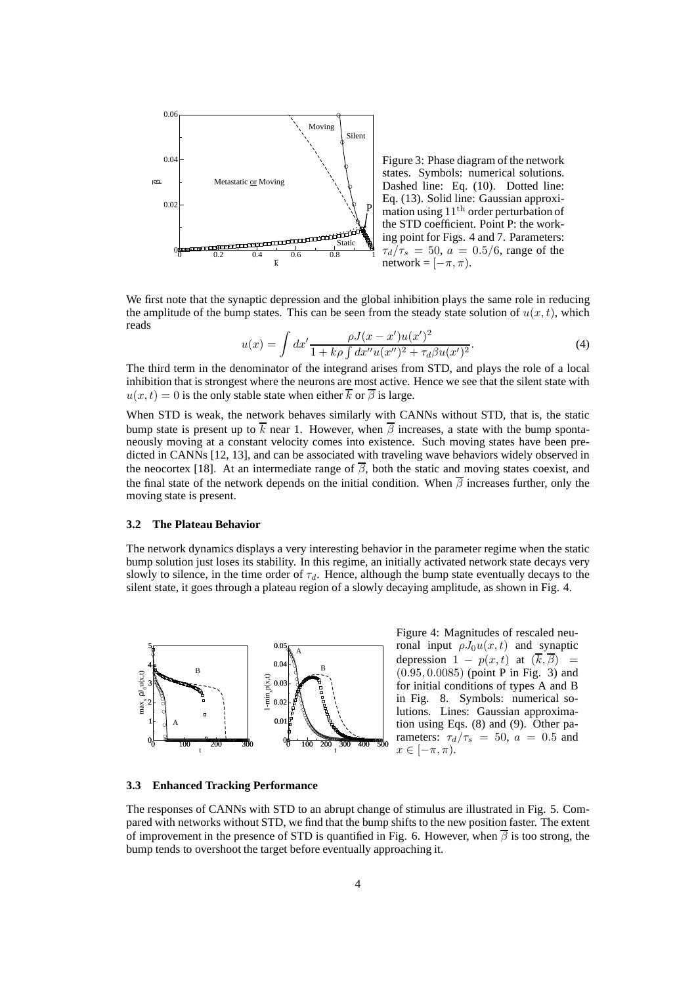

Figure 3: Phase diagram of the network states. Symbols: numerical solutions. Dashed line: Eq. (10). Dotted line: Eq. (13). Solid line: Gaussian approximation using  $11<sup>th</sup>$  order perturbation of the STD coefficient. Point P: the working point for Figs. 4 and 7. Parameters:  $\tau_d/\tau_s = 50$ ,  $a = 0.5/6$ , range of the network =  $[-\pi, \pi)$ .

We first note that the synaptic depression and the global inhibition plays the same role in reducing the amplitude of the bump states. This can be seen from the steady state solution of  $u(x, t)$ , which reads

$$
u(x) = \int dx' \frac{\rho J(x - x')u(x')^2}{1 + k\rho \int dx''u(x'')^2 + \tau_d\beta u(x')^2}.
$$
 (4)

The third term in the denominator of the integrand arises from STD, and plays the role of a local inhibition that is strongest where the neurons are most active. Hence we see that the silent state with  $u(x, t) = 0$  is the only stable state when either  $\overline{k}$  or  $\overline{\beta}$  is large.

When STD is weak, the network behaves similarly with CANNs without STD, that is, the static bump state is present up to  $\overline{k}$  near 1. However, when  $\overline{\beta}$  increases, a state with the bump spontaneously moving at a constant velocity comes into existence. Such moving states have been predicted in CANNs [12, 13], and can be associated with traveling wave behaviors widely observed in the neocortex [18]. At an intermediate range of  $\overline{\beta}$ , both the static and moving states coexist, and the final state of the network depends on the initial condition. When  $\overline{\beta}$  increases further, only the moving state is present.

#### **3.2 The Plateau Behavior**

The network dynamics displays a very interesting behavior in the parameter regime when the static bump solution just loses its stability. In this regime, an initially activated network state decays very slowly to silence, in the time order of  $\tau_d$ . Hence, although the bump state eventually decays to the silent state, it goes through a plateau region of a slowly decaying amplitude, as shown in Fig. 4.



Figure 4: Magnitudes of rescaled neuronal input  $\rho J_0 u(x, t)$  and synaptic depression  $1 - p(x, t)$  at  $(\overline{k}, \overline{\beta})$  =  $(0.95, 0.0085)$  (point P in Fig. 3) and for initial conditions of types A and B in Fig. 8. Symbols: numerical solutions. Lines: Gaussian approximation using Eqs. (8) and (9). Other parameters:  $\tau_d/\tau_s = 50$ ,  $a = 0.5$  and  $x \in [-\pi, \pi)$ .

#### **3.3 Enhanced Tracking Performance**

The responses of CANNs with STD to an abrupt change of stimulus are illustrated in Fig. 5. Compared with networks without STD, we find that the bump shifts to the new position faster. The extent of improvement in the presence of STD is quantified in Fig. 6. However, when  $\beta$  is too strong, the bump tends to overshoot the target before eventually approaching it.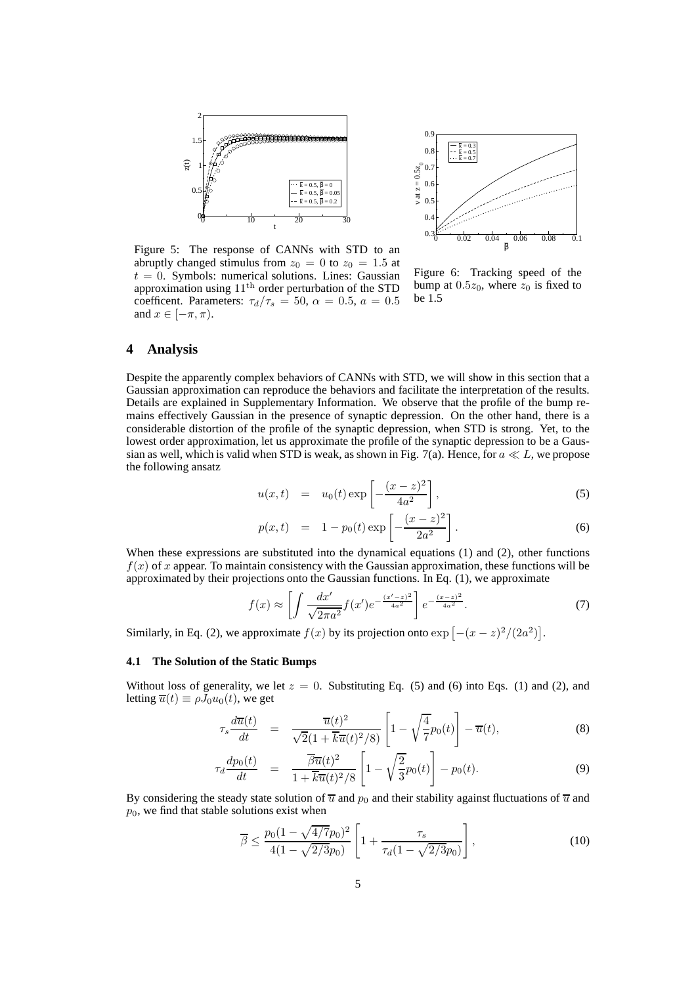

0 0.02 0.04 0.06 0.08 0.1 β  $\Omega$ .  $\Omega$ 0.5  $\Omega$ 0.7 0.8  $0.9$ v at  $z = 0.5z_0$  $\begin{array}{l} \overline{\text{k}} = 0.3 \ \overline{\text{k}} = 0.5 \ \overline{\text{k}} = 0.7 \end{array}$ 

Figure 5: The response of CANNs with STD to an abruptly changed stimulus from  $z_0 = 0$  to  $z_0 = 1.5$  at  $t = 0$ . Symbols: numerical solutions. Lines: Gaussian approximation using  $11<sup>th</sup>$  order perturbation of the STD coefficent. Parameters:  $\tau_d/\tau_s = 50$ ,  $\alpha = 0.5$ ,  $a = 0.5$ and  $x \in [-\pi, \pi)$ .

Figure 6: Tracking speed of the bump at  $0.5z_0$ , where  $z_0$  is fixed to be 1.5

## **4 Analysis**

Despite the apparently complex behaviors of CANNs with STD, we will show in this section that a Gaussian approximation can reproduce the behaviors and facilitate the interpretation of the results. Details are explained in Supplementary Information. We observe that the profile of the bump remains effectively Gaussian in the presence of synaptic depression. On the other hand, there is a considerable distortion of the profile of the synaptic depression, when STD is strong. Yet, to the lowest order approximation, let us approximate the profile of the synaptic depression to be a Gaussian as well, which is valid when STD is weak, as shown in Fig. 7(a). Hence, for  $a \ll L$ , we propose the following ansatz

$$
u(x,t) = u_0(t) \exp\left[-\frac{(x-z)^2}{4a^2}\right],
$$
\n(5)

$$
p(x,t) = 1 - p_0(t) \exp\left[-\frac{(x-z)^2}{2a^2}\right].
$$
 (6)

When these expressions are substituted into the dynamical equations (1) and (2), other functions  $f(x)$  of x appear. To maintain consistency with the Gaussian approximation, these functions will be approximated by their projections onto the Gaussian functions. In Eq. (1), we approximate

$$
f(x) \approx \left[ \int \frac{dx'}{\sqrt{2\pi a^2}} f(x') e^{-\frac{(x'-z)^2}{4a^2}} \right] e^{-\frac{(x-z)^2}{4a^2}}.
$$
 (7)

Similarly, in Eq. (2), we approximate  $f(x)$  by its projection onto  $\exp\left[-(x-z)^2/(2a^2)\right]$ .

#### **4.1 The Solution of the Static Bumps**

Without loss of generality, we let  $z = 0$ . Substituting Eq. (5) and (6) into Eqs. (1) and (2), and letting  $\overline{u}(t) \equiv \rho J_0 u_0(t)$ , we get

$$
\tau_s \frac{d\overline{u}(t)}{dt} = \frac{\overline{u}(t)^2}{\sqrt{2}(1+\overline{k}\overline{u}(t)^2/8)} \left[1 - \sqrt{\frac{4}{7}}p_0(t)\right] - \overline{u}(t),\tag{8}
$$

$$
\tau_d \frac{dp_0(t)}{dt} = \frac{\overline{\beta u}(t)^2}{1 + \overline{k u}(t)^2/8} \left[ 1 - \sqrt{\frac{2}{3}} p_0(t) \right] - p_0(t). \tag{9}
$$

By considering the steady state solution of  $\overline{u}$  and  $p_0$  and their stability against fluctuations of  $\overline{u}$  and  $p_0$ , we find that stable solutions exist when

$$
\overline{\beta} \le \frac{p_0 (1 - \sqrt{4/7} p_0)^2}{4(1 - \sqrt{2/3} p_0)} \left[ 1 + \frac{\tau_s}{\tau_d (1 - \sqrt{2/3} p_0)} \right],\tag{10}
$$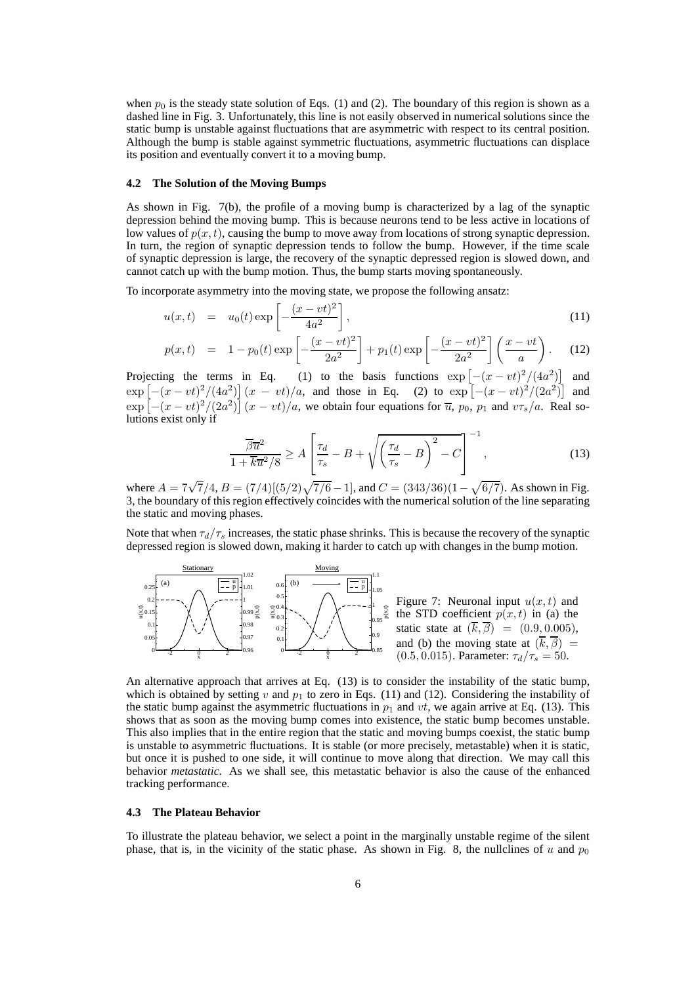when  $p_0$  is the steady state solution of Eqs. (1) and (2). The boundary of this region is shown as a dashed line in Fig. 3. Unfortunately, this line is not easily observed in numerical solutions since the static bump is unstable against fluctuations that are asymmetric with respect to its central position. Although the bump is stable against symmetric fluctuations, asymmetric fluctuations can displace its position and eventually convert it to a moving bump.

#### **4.2 The Solution of the Moving Bumps**

As shown in Fig. 7(b), the profile of a moving bump is characterized by a lag of the synaptic depression behind the moving bump. This is because neurons tend to be less active in locations of low values of  $p(x, t)$ , causing the bump to move away from locations of strong synaptic depression. In turn, the region of synaptic depression tends to follow the bump. However, if the time scale of synaptic depression is large, the recovery of the synaptic depressed region is slowed down, and cannot catch up with the bump motion. Thus, the bump starts moving spontaneously.

To incorporate asymmetry into the moving state, we propose the following ansatz:

$$
u(x,t) = u_0(t) \exp\left[-\frac{(x-vt)^2}{4a^2}\right],\tag{11}
$$

$$
p(x,t) = 1 - p_0(t) \exp\left[-\frac{(x - vt)^2}{2a^2}\right] + p_1(t) \exp\left[-\frac{(x - vt)^2}{2a^2}\right] \left(\frac{x - vt}{a}\right). \tag{12}
$$

Projecting the terms in Eq. (1) to the basis functions  $\exp \left[ -(x - vt)^2/(4a^2) \right]$  and  $\exp [-(x-vt)^2/(4a^2)] (x - vt)/a$ , and those in Eq. (2) to  $\exp [-(x-vt)^2/(2a^2)]$  and  $\exp\left[-(x-vt)^2/(2a^2)\right](x-vt)/a$ , we obtain four equations for  $\overline{u}$ ,  $p_0$ ,  $p_1$  and  $v\tau_s/a$ . Real solutions exist only if

$$
\frac{\overline{\beta}\overline{u}^2}{1+\overline{k}\overline{u}^2/8} \ge A \left[ \frac{\tau_d}{\tau_s} - B + \sqrt{\left(\frac{\tau_d}{\tau_s} - B\right)^2 - C} \right]^{-1},\tag{13}
$$

where  $A = 7\sqrt{7}/4$ ,  $B = (7/4)[(5/2)\sqrt{7/6} - 1]$ , and  $C = (343/36)(1 - \sqrt{6/7})$ . As shown in Fig. 3, the boundary of this region effectively coincides with the numerical solution of the line separating the static and moving phases.

Note that when  $\tau_d/\tau_s$  increases, the static phase shrinks. This is because the recovery of the synaptic depressed region is slowed down, making it harder to catch up with changes in the bump motion.



An alternative approach that arrives at Eq. (13) is to consider the instability of the static bump, which is obtained by setting v and  $p_1$  to zero in Eqs. (11) and (12). Considering the instability of the static bump against the asymmetric fluctuations in  $p_1$  and vt, we again arrive at Eq. (13). This shows that as soon as the moving bump comes into existence, the static bump becomes unstable. This also implies that in the entire region that the static and moving bumps coexist, the static bump is unstable to asymmetric fluctuations. It is stable (or more precisely, metastable) when it is static, but once it is pushed to one side, it will continue to move along that direction. We may call this behavior *metastatic*. As we shall see, this metastatic behavior is also the cause of the enhanced tracking performance.

#### **4.3 The Plateau Behavior**

To illustrate the plateau behavior, we select a point in the marginally unstable regime of the silent phase, that is, in the vicinity of the static phase. As shown in Fig. 8, the nullclines of u and  $p_0$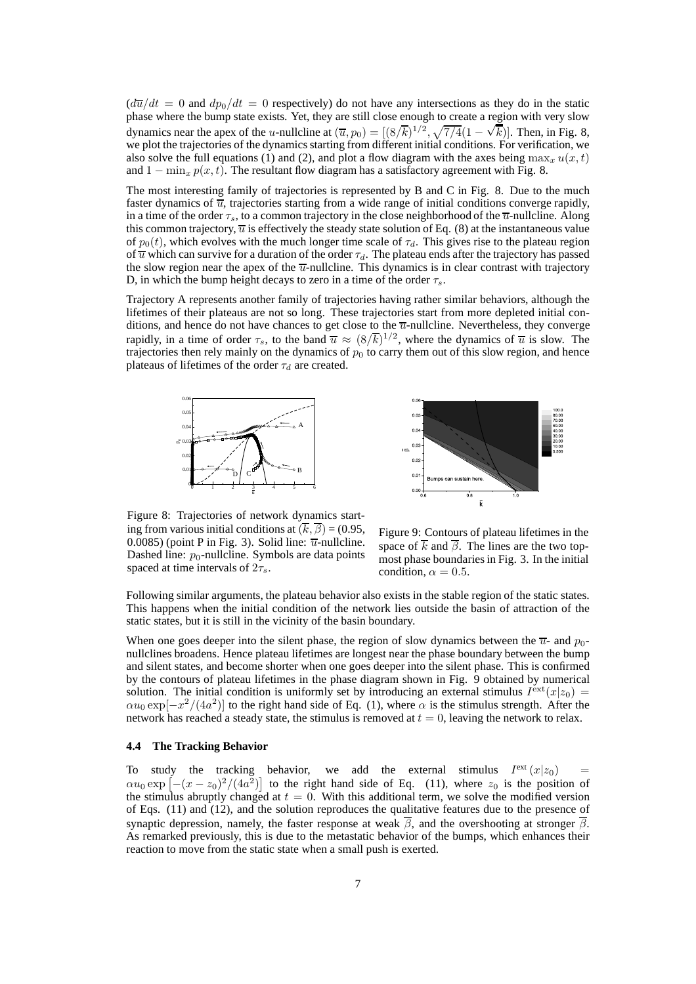$\left(\frac{d\overline{u}}{dt}\right)dt = 0$  and  $\frac{dp_0}{dt} = 0$  respectively) do not have any intersections as they do in the static phase where the bump state exists. Yet, they are still close enough to create a region with very slow dynamics near the apex of the u-nullcline at  $(\overline{u}, p_0) = [(8/\overline{k})^{1/2}, \sqrt{7/4}(1-\sqrt{k})]$ . Then, in Fig. 8, we plot the trajectories of the dynamics starting from different initial conditions. For verification, we also solve the full equations (1) and (2), and plot a flow diagram with the axes being  $\max_x u(x, t)$ and  $1 - \min_x p(x, t)$ . The resultant flow diagram has a satisfactory agreement with Fig. 8.

The most interesting family of trajectories is represented by B and C in Fig. 8. Due to the much faster dynamics of  $\overline{u}$ , trajectories starting from a wide range of initial conditions converge rapidly, in a time of the order  $\tau_s$ , to a common trajectory in the close neighborhood of the  $\overline{u}$ -nullcline. Along this common trajectory,  $\overline{u}$  is effectively the steady state solution of Eq. (8) at the instantaneous value of  $p_0(t)$ , which evolves with the much longer time scale of  $\tau_d$ . This gives rise to the plateau region of  $\overline{u}$  which can survive for a duration of the order  $\tau_d$ . The plateau ends after the trajectory has passed the slow region near the apex of the  $\overline{u}$ -nullcline. This dynamics is in clear contrast with trajectory D, in which the bump height decays to zero in a time of the order  $\tau_s$ .

Trajectory A represents another family of trajectories having rather similar behaviors, although the lifetimes of their plateaus are not so long. These trajectories start from more depleted initial conditions, and hence do not have chances to get close to the  $\overline{u}$ -nullcline. Nevertheless, they converge rapidly, in a time of order  $\tau_s$ , to the band  $\overline{u} \approx (8/\overline{k})^{1/2}$ , where the dynamics of  $\overline{u}$  is slow. The trajectories then rely mainly on the dynamics of  $p_0$  to carry them out of this slow region, and hence plateaus of lifetimes of the order  $\tau_d$  are created.





Figure 8: Trajectories of network dynamics starting from various initial conditions at  $(\overline{k}, \overline{\beta}) = (0.95,$ 0.0085) (point P in Fig. 3). Solid line:  $\overline{u}$ -nullcline. Dashed line:  $p_0$ -nullcline. Symbols are data points spaced at time intervals of  $2\tau_s$ .

Figure 9: Contours of plateau lifetimes in the space of  $\overline{k}$  and  $\overline{\beta}$ . The lines are the two topmost phase boundaries in Fig. 3. In the initial condition,  $\alpha = 0.5$ .

Following similar arguments, the plateau behavior also exists in the stable region of the static states. This happens when the initial condition of the network lies outside the basin of attraction of the static states, but it is still in the vicinity of the basin boundary.

When one goes deeper into the silent phase, the region of slow dynamics between the  $\overline{u}$ - and  $p_0$ nullclines broadens. Hence plateau lifetimes are longest near the phase boundary between the bump and silent states, and become shorter when one goes deeper into the silent phase. This is confirmed by the contours of plateau lifetimes in the phase diagram shown in Fig. 9 obtained by numerical solution. The initial condition is uniformly set by introducing an external stimulus  $I^{\text{ext}}(x|z_0) =$  $\alpha u_0 \exp[-x^2/(4a^2)]$  to the right hand side of Eq. (1), where  $\alpha$  is the stimulus strength. After the network has reached a steady state, the stimulus is removed at  $t = 0$ , leaving the network to relax.

## **4.4 The Tracking Behavior**

To study the tracking behavior, we add the external stimulus  $I^{\text{ext}}(x|z_0)$  =  $\alpha u_0 \exp \left[ -(x-z_0)^2/(4a^2) \right]$  to the right hand side of Eq. (11), where  $z_0$  is the position of the stimulus abruptly changed at  $t = 0$ . With this additional term, we solve the modified version of Eqs. (11) and (12), and the solution reproduces the qualitative features due to the presence of synaptic depression, namely, the faster response at weak  $\overline{\beta}$ , and the overshooting at stronger  $\overline{\beta}$ . As remarked previously, this is due to the metastatic behavior of the bumps, which enhances their reaction to move from the static state when a small push is exerted.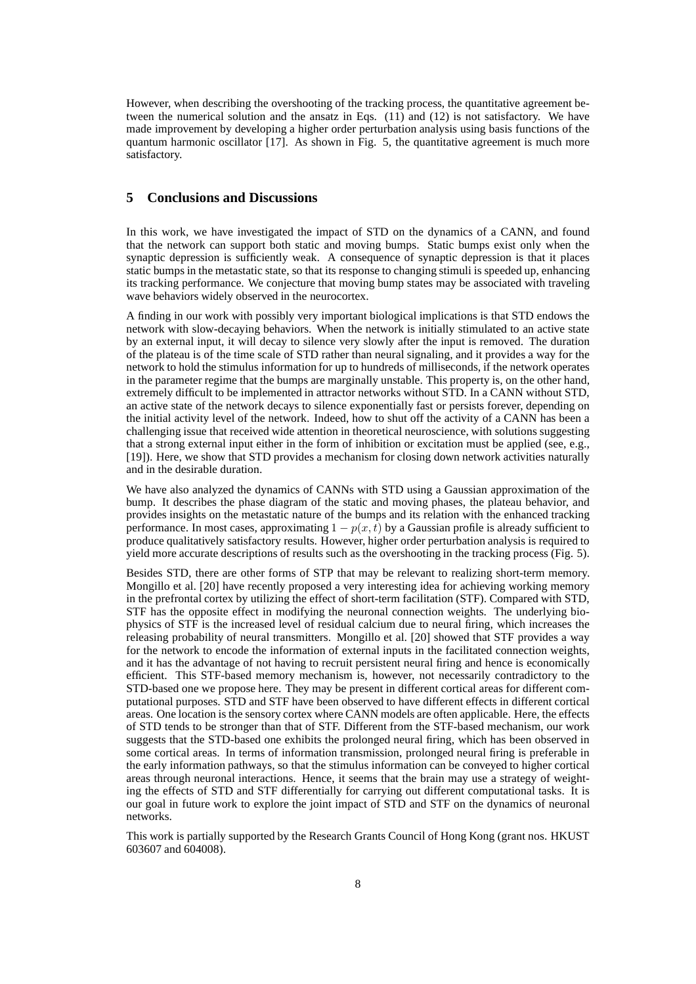However, when describing the overshooting of the tracking process, the quantitative agreement between the numerical solution and the ansatz in Eqs. (11) and (12) is not satisfactory. We have made improvement by developing a higher order perturbation analysis using basis functions of the quantum harmonic oscillator [17]. As shown in Fig. 5, the quantitative agreement is much more satisfactory.

# **5 Conclusions and Discussions**

In this work, we have investigated the impact of STD on the dynamics of a CANN, and found that the network can support both static and moving bumps. Static bumps exist only when the synaptic depression is sufficiently weak. A consequence of synaptic depression is that it places static bumps in the metastatic state, so that its response to changing stimuli is speeded up, enhancing its tracking performance. We conjecture that moving bump states may be associated with traveling wave behaviors widely observed in the neurocortex.

A finding in our work with possibly very important biological implications is that STD endows the network with slow-decaying behaviors. When the network is initially stimulated to an active state by an external input, it will decay to silence very slowly after the input is removed. The duration of the plateau is of the time scale of STD rather than neural signaling, and it provides a way for the network to hold the stimulus information for up to hundreds of milliseconds, if the network operates in the parameter regime that the bumps are marginally unstable. This property is, on the other hand, extremely difficult to be implemented in attractor networks without STD. In a CANN without STD, an active state of the network decays to silence exponentially fast or persists forever, depending on the initial activity level of the network. Indeed, how to shut off the activity of a CANN has been a challenging issue that received wide attention in theoretical neuroscience, with solutions suggesting that a strong external input either in the form of inhibition or excitation must be applied (see, e.g., [19]). Here, we show that STD provides a mechanism for closing down network activities naturally and in the desirable duration.

We have also analyzed the dynamics of CANNs with STD using a Gaussian approximation of the bump. It describes the phase diagram of the static and moving phases, the plateau behavior, and provides insights on the metastatic nature of the bumps and its relation with the enhanced tracking performance. In most cases, approximating  $1 - p(x, t)$  by a Gaussian profile is already sufficient to produce qualitatively satisfactory results. However, higher order perturbation analysis is required to yield more accurate descriptions of results such as the overshooting in the tracking process (Fig. 5).

Besides STD, there are other forms of STP that may be relevant to realizing short-term memory. Mongillo et al. [20] have recently proposed a very interesting idea for achieving working memory in the prefrontal cortex by utilizing the effect of short-term facilitation (STF). Compared with STD, STF has the opposite effect in modifying the neuronal connection weights. The underlying biophysics of STF is the increased level of residual calcium due to neural firing, which increases the releasing probability of neural transmitters. Mongillo et al. [20] showed that STF provides a way for the network to encode the information of external inputs in the facilitated connection weights, and it has the advantage of not having to recruit persistent neural firing and hence is economically efficient. This STF-based memory mechanism is, however, not necessarily contradictory to the STD-based one we propose here. They may be present in different cortical areas for different computational purposes. STD and STF have been observed to have different effects in different cortical areas. One location is the sensory cortex where CANN models are often applicable. Here, the effects of STD tends to be stronger than that of STF. Different from the STF-based mechanism, our work suggests that the STD-based one exhibits the prolonged neural firing, which has been observed in some cortical areas. In terms of information transmission, prolonged neural firing is preferable in the early information pathways, so that the stimulus information can be conveyed to higher cortical areas through neuronal interactions. Hence, it seems that the brain may use a strategy of weighting the effects of STD and STF differentially for carrying out different computational tasks. It is our goal in future work to explore the joint impact of STD and STF on the dynamics of neuronal networks.

This work is partially supported by the Research Grants Council of Hong Kong (grant nos. HKUST 603607 and 604008).